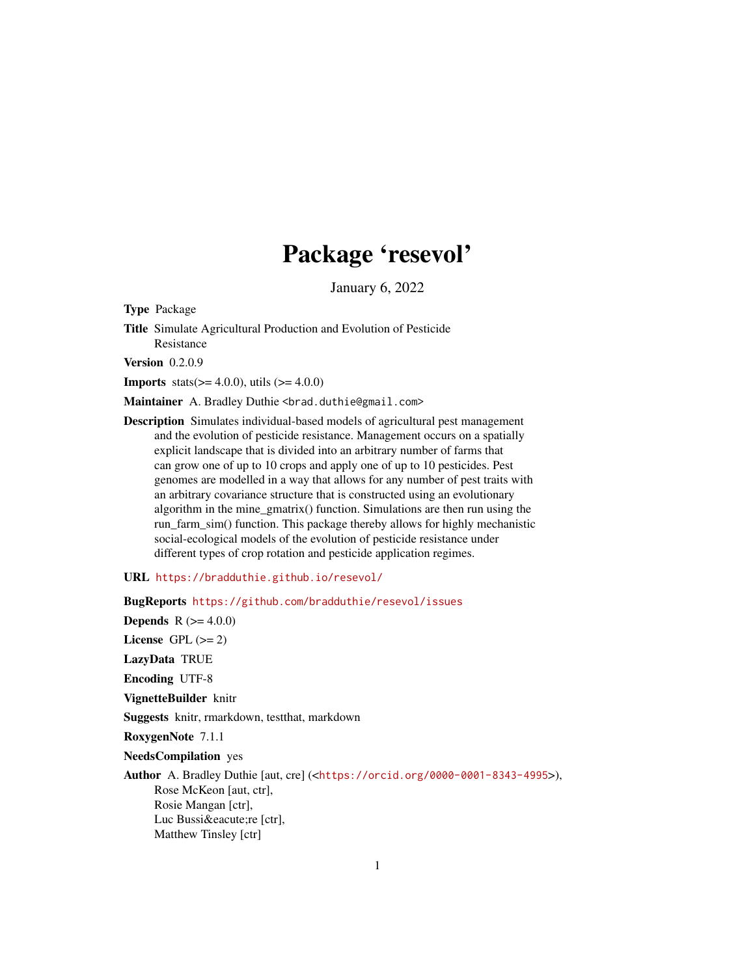## Package 'resevol'

January 6, 2022

Type Package

Title Simulate Agricultural Production and Evolution of Pesticide Resistance

**Version** 0.2.0.9

**Imports** stats( $>= 4.0.0$ ), utils ( $>= 4.0.0$ )

Maintainer A. Bradley Duthie <br />brad.duthie@gmail.com>

Description Simulates individual-based models of agricultural pest management and the evolution of pesticide resistance. Management occurs on a spatially explicit landscape that is divided into an arbitrary number of farms that can grow one of up to 10 crops and apply one of up to 10 pesticides. Pest genomes are modelled in a way that allows for any number of pest traits with an arbitrary covariance structure that is constructed using an evolutionary algorithm in the mine\_gmatrix() function. Simulations are then run using the run farm sim() function. This package thereby allows for highly mechanistic social-ecological models of the evolution of pesticide resistance under different types of crop rotation and pesticide application regimes.

URL <https://bradduthie.github.io/resevol/>

BugReports <https://github.com/bradduthie/resevol/issues> **Depends** R  $(>= 4.0.0)$ License GPL  $(>= 2)$ LazyData TRUE Encoding UTF-8 VignetteBuilder knitr Suggests knitr, rmarkdown, testthat, markdown RoxygenNote 7.1.1 NeedsCompilation yes Author A. Bradley Duthie [aut, cre] (<<https://orcid.org/0000-0001-8343-4995>>), Rose McKeon [aut, ctr], Rosie Mangan [ctr], Luc Bussiére [ctr], Matthew Tinsley [ctr]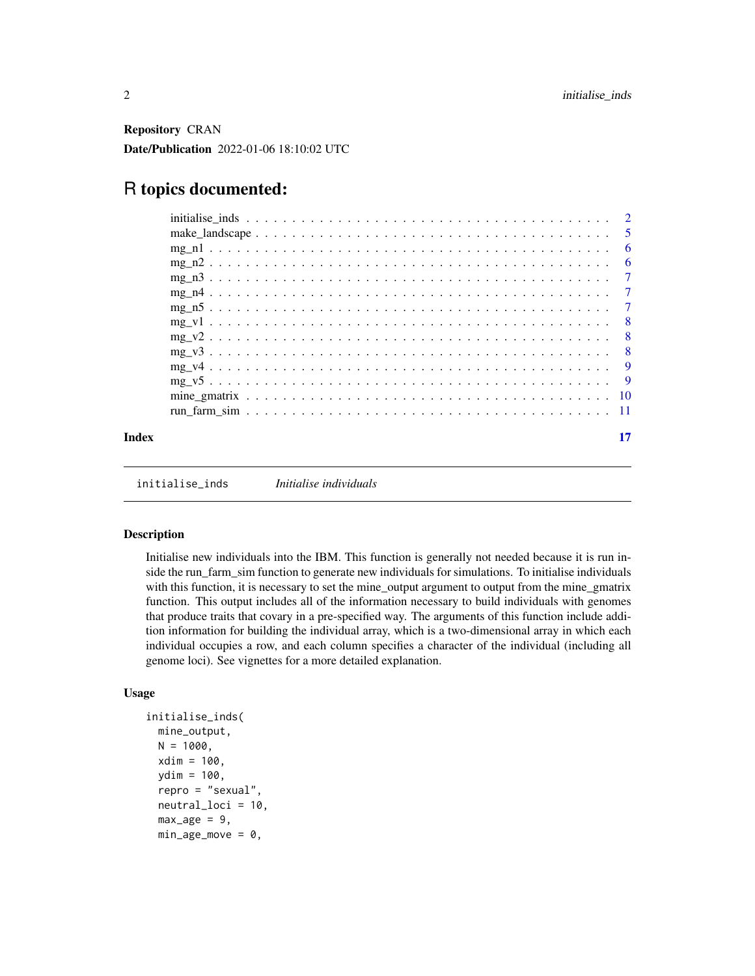<span id="page-1-0"></span>Repository CRAN Date/Publication 2022-01-06 18:10:02 UTC

## R topics documented:

|       |            | - 6 |
|-------|------------|-----|
|       |            | - 6 |
|       | $mg_13$    |     |
|       |            |     |
|       |            |     |
|       |            |     |
|       |            |     |
|       |            |     |
|       |            |     |
|       | $mg_v 5$ 9 |     |
|       |            |     |
|       |            |     |
| Index |            |     |

initialise\_inds *Initialise individuals*

#### Description

Initialise new individuals into the IBM. This function is generally not needed because it is run inside the run\_farm\_sim function to generate new individuals for simulations. To initialise individuals with this function, it is necessary to set the mine\_output argument to output from the mine\_gmatrix function. This output includes all of the information necessary to build individuals with genomes that produce traits that covary in a pre-specified way. The arguments of this function include addition information for building the individual array, which is a two-dimensional array in which each individual occupies a row, and each column specifies a character of the individual (including all genome loci). See vignettes for a more detailed explanation.

#### Usage

```
initialise_inds(
 mine_output,
 N = 1000,
  xdim = 100,
  ydim = 100,
  repro = "sexual",
  neutral_loci = 10,
  max_age = 9,
 min\_age\_move = 0,
```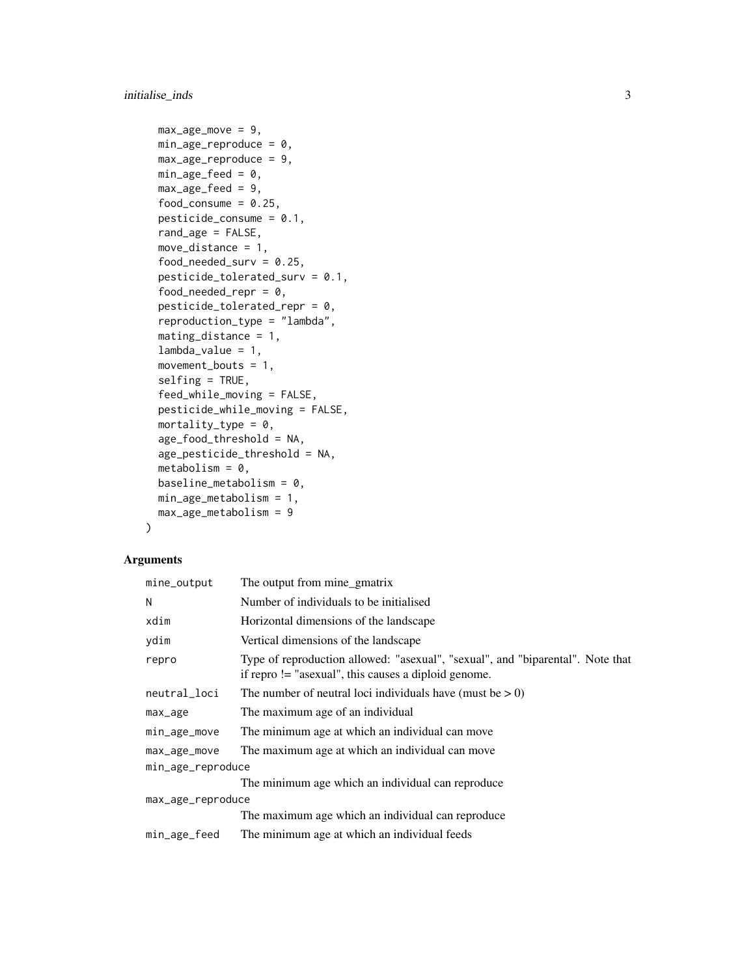```
max_age_move = 9,
min\_age\_reproduce = 0,max\_age\_reproduce = 9,min\_age\_feed = 0,
max\_age\_feed = 9,
food_consume = 0.25,
pesticide_{consume} = 0.1,
rand_age = FALSE,
move_distance = 1,
food_needed_surv = 0.25,
pesticide_tolerated_surv = 0.1,
food_needed_repr = 0,
pesticide_tolerated_repr = 0,
reproduction_type = "lambda",
mating_distance = 1,
lambda_value = 1,
movement_bouts = 1,
selfing = TRUE,
feed_while_moving = FALSE,
pesticide_while_moving = FALSE,
mortality_type = 0,
age_food_threshold = NA,
age_pesticide_threshold = NA,
metabolism = 0,
baseline_metabolism = 0,
min_age_metabolism = 1,
max_age_metabolism = 9
```
#### Arguments

)

| The output from mine_gmatrix                                                                                                             |  |  |  |
|------------------------------------------------------------------------------------------------------------------------------------------|--|--|--|
| Number of individuals to be initialised                                                                                                  |  |  |  |
| Horizontal dimensions of the landscape                                                                                                   |  |  |  |
| Vertical dimensions of the landscape                                                                                                     |  |  |  |
| Type of reproduction allowed: "asexual", "sexual", and "biparental". Note that<br>if repro $!=$ "asexual", this causes a diploid genome. |  |  |  |
| The number of neutral loci individuals have (must be $> 0$ )                                                                             |  |  |  |
| The maximum age of an individual                                                                                                         |  |  |  |
| The minimum age at which an individual can move                                                                                          |  |  |  |
| The maximum age at which an individual can move                                                                                          |  |  |  |
| min_age_reproduce                                                                                                                        |  |  |  |
| The minimum age which an individual can reproduce                                                                                        |  |  |  |
| max_age_reproduce                                                                                                                        |  |  |  |
| The maximum age which an individual can reproduce                                                                                        |  |  |  |
| The minimum age at which an individual feeds                                                                                             |  |  |  |
|                                                                                                                                          |  |  |  |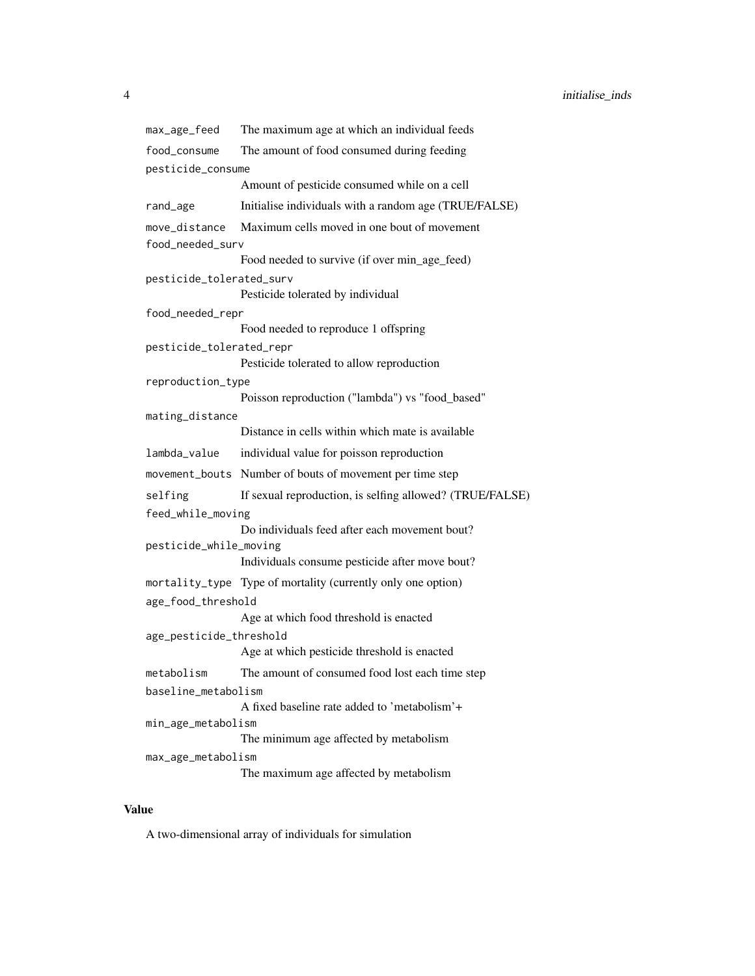max\_age\_feed The maximum age at which an individual feeds food\_consume The amount of food consumed during feeding pesticide\_consume Amount of pesticide consumed while on a cell rand\_age Initialise individuals with a random age (TRUE/FALSE) move\_distance Maximum cells moved in one bout of movement food\_needed\_surv Food needed to survive (if over min\_age\_feed) pesticide\_tolerated\_surv Pesticide tolerated by individual food\_needed\_repr Food needed to reproduce 1 offspring pesticide\_tolerated\_repr Pesticide tolerated to allow reproduction reproduction\_type Poisson reproduction ("lambda") vs "food\_based" mating\_distance Distance in cells within which mate is available lambda\_value individual value for poisson reproduction movement\_bouts Number of bouts of movement per time step selfing If sexual reproduction, is selfing allowed? (TRUE/FALSE) feed\_while\_moving Do individuals feed after each movement bout? pesticide\_while\_moving Individuals consume pesticide after move bout? mortality\_type Type of mortality (currently only one option) age\_food\_threshold Age at which food threshold is enacted age\_pesticide\_threshold Age at which pesticide threshold is enacted metabolism The amount of consumed food lost each time step baseline\_metabolism A fixed baseline rate added to 'metabolism'+ min\_age\_metabolism The minimum age affected by metabolism max\_age\_metabolism The maximum age affected by metabolism

#### Value

A two-dimensional array of individuals for simulation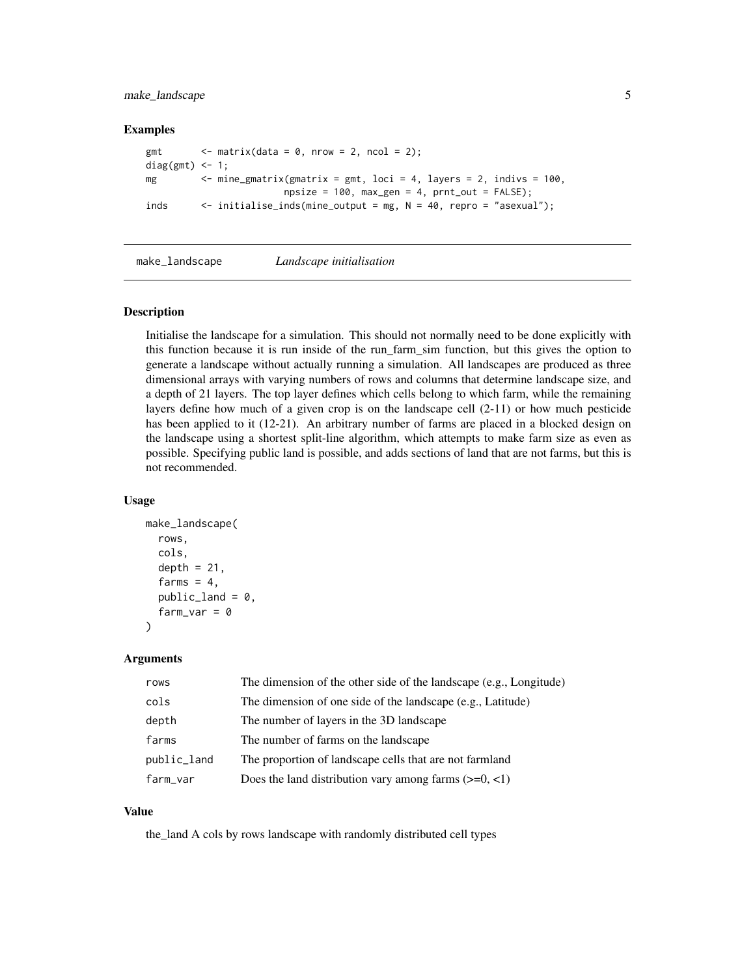<span id="page-4-0"></span>make\_landscape 5

#### Examples

```
gmt \langle - \text{ matrix}(data = 0, \text{ nrow} = 2, \text{ ncol} = 2);
diag(gmt) <-1;
mg \leq mine_gmatrix(gmatrix = gmt, loci = 4, layers = 2, indivs = 100,
                          npsize = 100, max\_gen = 4, prnt\_out = FALSE;
inds <- initialise_inds(mine_output = mg, N = 40, repro = "asexual");
```
make\_landscape *Landscape initialisation*

#### Description

Initialise the landscape for a simulation. This should not normally need to be done explicitly with this function because it is run inside of the run\_farm\_sim function, but this gives the option to generate a landscape without actually running a simulation. All landscapes are produced as three dimensional arrays with varying numbers of rows and columns that determine landscape size, and a depth of 21 layers. The top layer defines which cells belong to which farm, while the remaining layers define how much of a given crop is on the landscape cell (2-11) or how much pesticide has been applied to it (12-21). An arbitrary number of farms are placed in a blocked design on the landscape using a shortest split-line algorithm, which attempts to make farm size as even as possible. Specifying public land is possible, and adds sections of land that are not farms, but this is not recommended.

#### Usage

```
make_landscape(
  rows,
  cols,
  depth = 21,
  farms = 4,
  public<sub>1</sub>and = 0,
  farm\_var = 0)
```
#### Arguments

| rows        | The dimension of the other side of the landscape (e.g., Longitude) |
|-------------|--------------------------------------------------------------------|
| cols        | The dimension of one side of the landscape (e.g., Latitude)        |
| depth       | The number of layers in the 3D landscape                           |
| farms       | The number of farms on the landscape                               |
| public_land | The proportion of landscape cells that are not farmland            |
| farm_var    | Does the land distribution vary among farms $(\geq=0, \leq 1)$     |

#### Value

the\_land A cols by rows landscape with randomly distributed cell types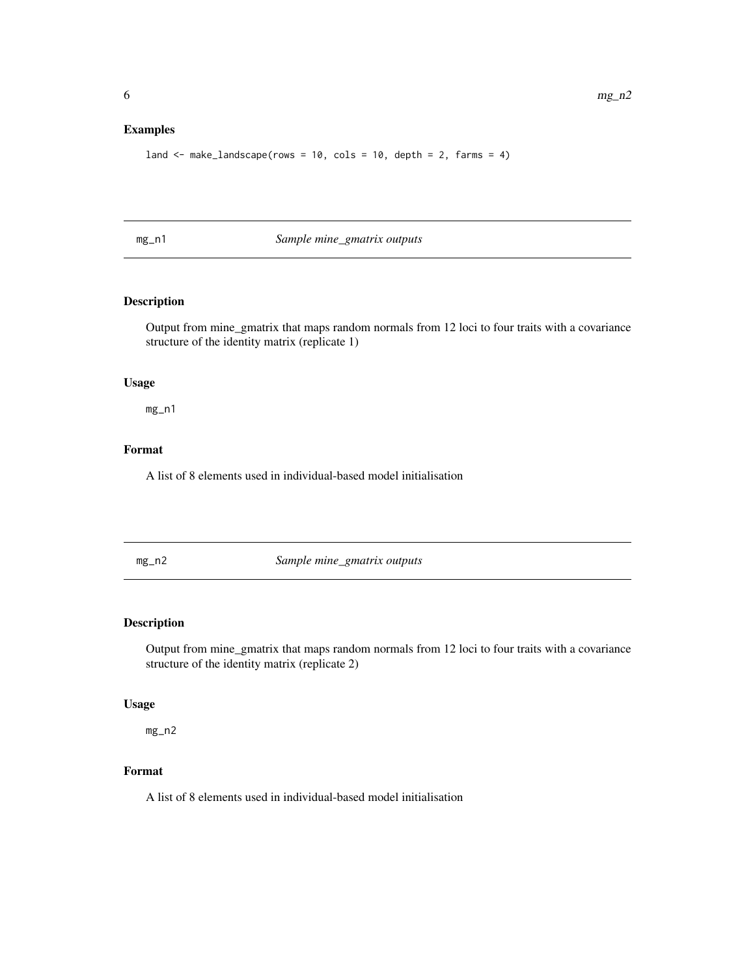#### <span id="page-5-0"></span>Examples

```
land \le make_landscape(rows = 10, cols = 10, depth = 2, farms = 4)
```
mg\_n1 *Sample mine\_gmatrix outputs*

#### Description

Output from mine\_gmatrix that maps random normals from 12 loci to four traits with a covariance structure of the identity matrix (replicate 1)

#### Usage

mg\_n1

#### Format

A list of 8 elements used in individual-based model initialisation

mg\_n2 *Sample mine\_gmatrix outputs*

#### Description

Output from mine\_gmatrix that maps random normals from 12 loci to four traits with a covariance structure of the identity matrix (replicate 2)

#### Usage

mg\_n2

#### Format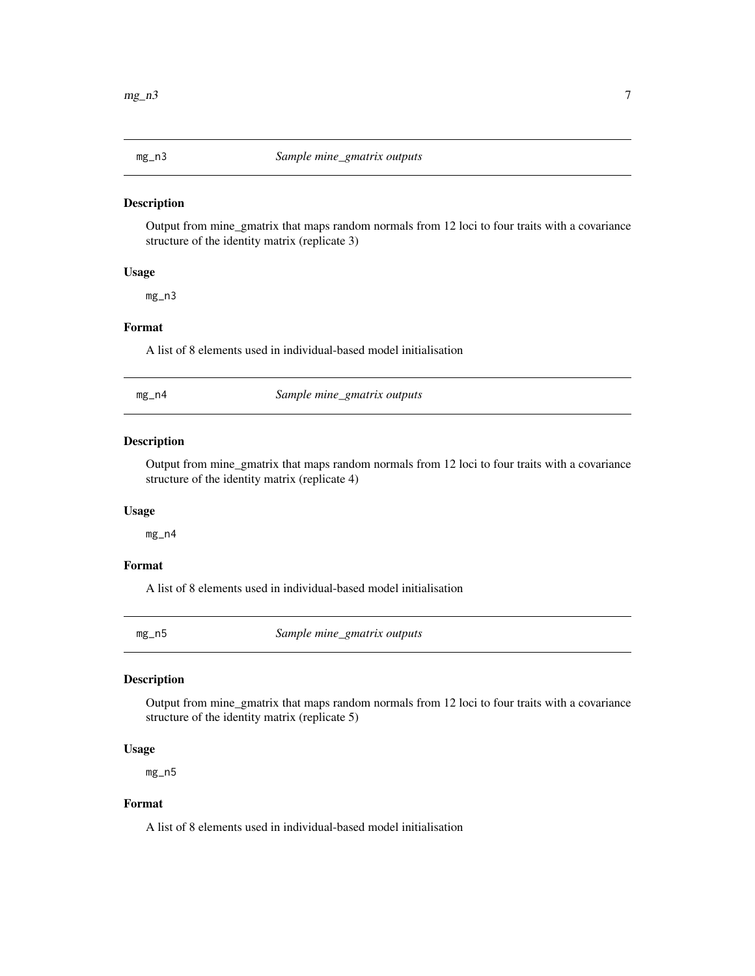<span id="page-6-0"></span>

Output from mine\_gmatrix that maps random normals from 12 loci to four traits with a covariance structure of the identity matrix (replicate 3)

#### Usage

mg\_n3

#### Format

A list of 8 elements used in individual-based model initialisation

| $mg_$ n4 | Sample mine_gmatrix outputs |  |
|----------|-----------------------------|--|
|----------|-----------------------------|--|

#### Description

Output from mine\_gmatrix that maps random normals from 12 loci to four traits with a covariance structure of the identity matrix (replicate 4)

#### Usage

mg\_n4

#### Format

A list of 8 elements used in individual-based model initialisation

mg\_n5 *Sample mine\_gmatrix outputs*

#### Description

Output from mine\_gmatrix that maps random normals from 12 loci to four traits with a covariance structure of the identity matrix (replicate 5)

#### Usage

mg\_n5

#### Format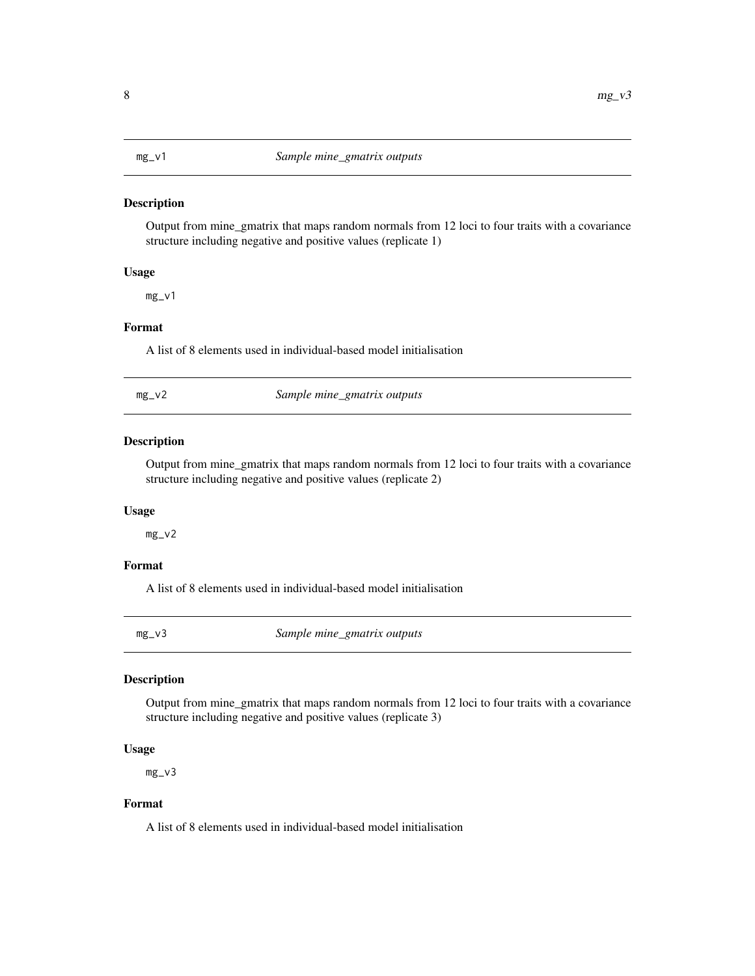<span id="page-7-0"></span>

Output from mine\_gmatrix that maps random normals from 12 loci to four traits with a covariance structure including negative and positive values (replicate 1)

#### Usage

mg\_v1

#### Format

A list of 8 elements used in individual-based model initialisation

| Sample mine_gmatrix outputs<br>$mg_vv2$ |  |
|-----------------------------------------|--|
|-----------------------------------------|--|

#### Description

Output from mine\_gmatrix that maps random normals from 12 loci to four traits with a covariance structure including negative and positive values (replicate 2)

#### Usage

mg\_v2

#### Format

A list of 8 elements used in individual-based model initialisation

mg\_v3 *Sample mine\_gmatrix outputs*

#### Description

Output from mine\_gmatrix that maps random normals from 12 loci to four traits with a covariance structure including negative and positive values (replicate 3)

#### Usage

mg\_v3

#### Format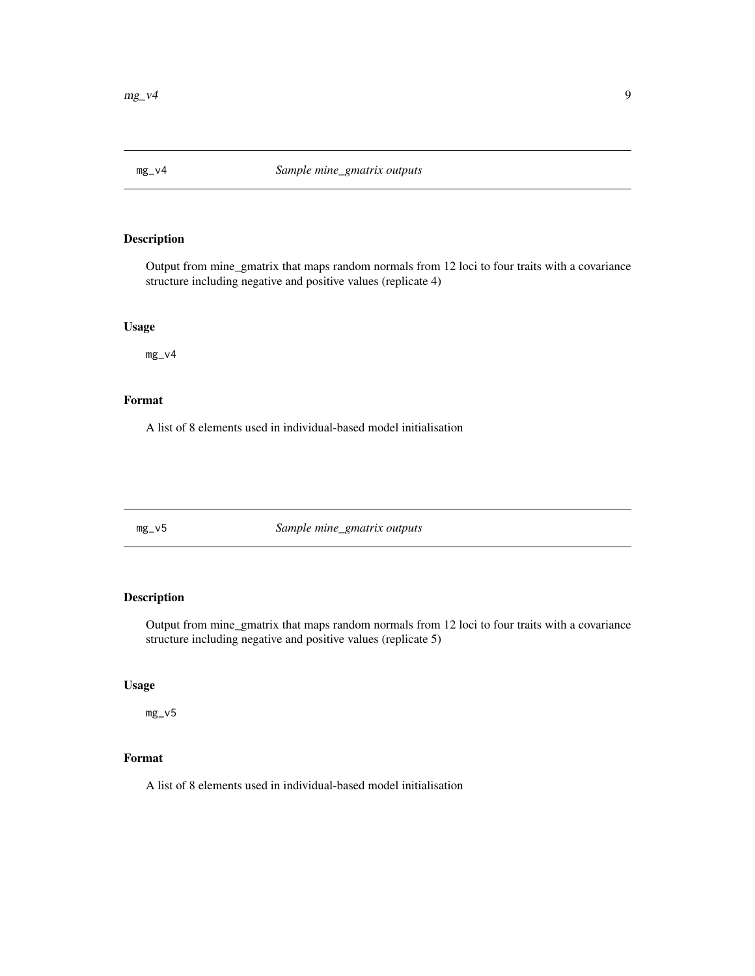<span id="page-8-0"></span>

Output from mine\_gmatrix that maps random normals from 12 loci to four traits with a covariance structure including negative and positive values (replicate 4)

#### Usage

mg\_v4

#### Format

A list of 8 elements used in individual-based model initialisation

mg\_v5 *Sample mine\_gmatrix outputs*

### Description

Output from mine\_gmatrix that maps random normals from 12 loci to four traits with a covariance structure including negative and positive values (replicate 5)

#### Usage

mg\_v5

#### Format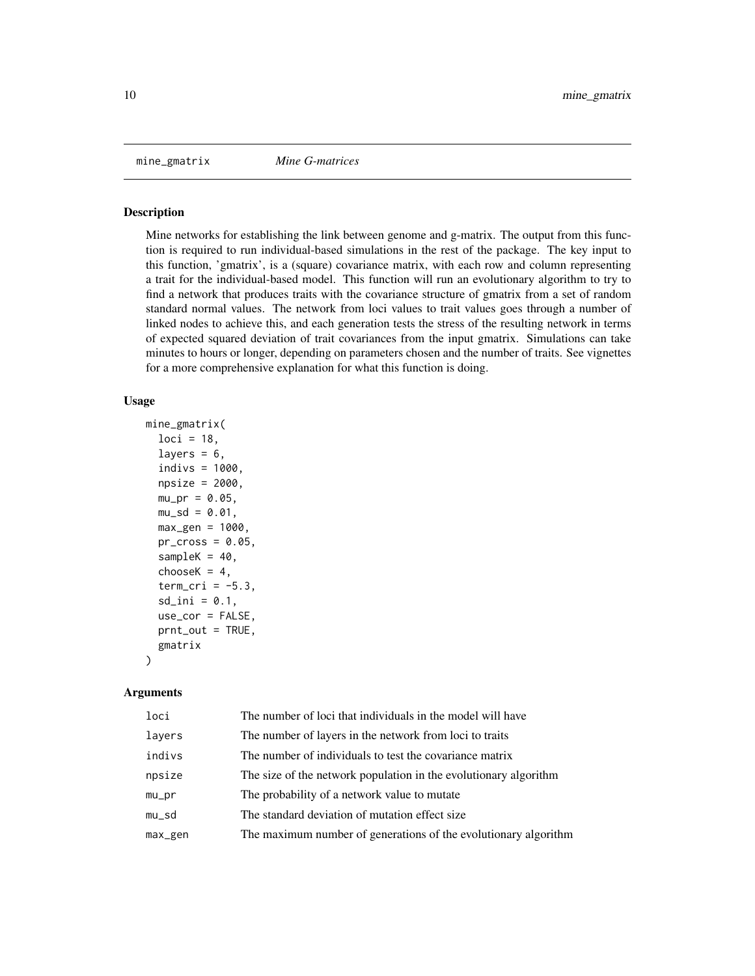<span id="page-9-0"></span>

Mine networks for establishing the link between genome and g-matrix. The output from this function is required to run individual-based simulations in the rest of the package. The key input to this function, 'gmatrix', is a (square) covariance matrix, with each row and column representing a trait for the individual-based model. This function will run an evolutionary algorithm to try to find a network that produces traits with the covariance structure of gmatrix from a set of random standard normal values. The network from loci values to trait values goes through a number of linked nodes to achieve this, and each generation tests the stress of the resulting network in terms of expected squared deviation of trait covariances from the input gmatrix. Simulations can take minutes to hours or longer, depending on parameters chosen and the number of traits. See vignettes for a more comprehensive explanation for what this function is doing.

#### Usage

```
mine_gmatrix(
  loci = 18,
  layers = 6,
  indivs = 1000,npsize = 2000,
  mu\_pr = 0.05,
  mu_s = 0.01,
  max\_gen = 1000,pr\_cross = 0.05,
  sampleK = 40,
  chooseK = 4,
  term_cri = -5.3,
  sd\_ini = 0.1,
  use_cor = FALSE,
  prnt_out = TRUE,
  gmatrix
)
```
#### Arguments

| loci    | The number of loci that individuals in the model will have       |
|---------|------------------------------------------------------------------|
| lavers  | The number of layers in the network from loci to traits          |
| indivs  | The number of individuals to test the covariance matrix          |
| npsize  | The size of the network population in the evolutionary algorithm |
| mu_pr   | The probability of a network value to mutate                     |
| mu_sd   | The standard deviation of mutation effect size.                  |
| max_gen | The maximum number of generations of the evolutionary algorithm  |
|         |                                                                  |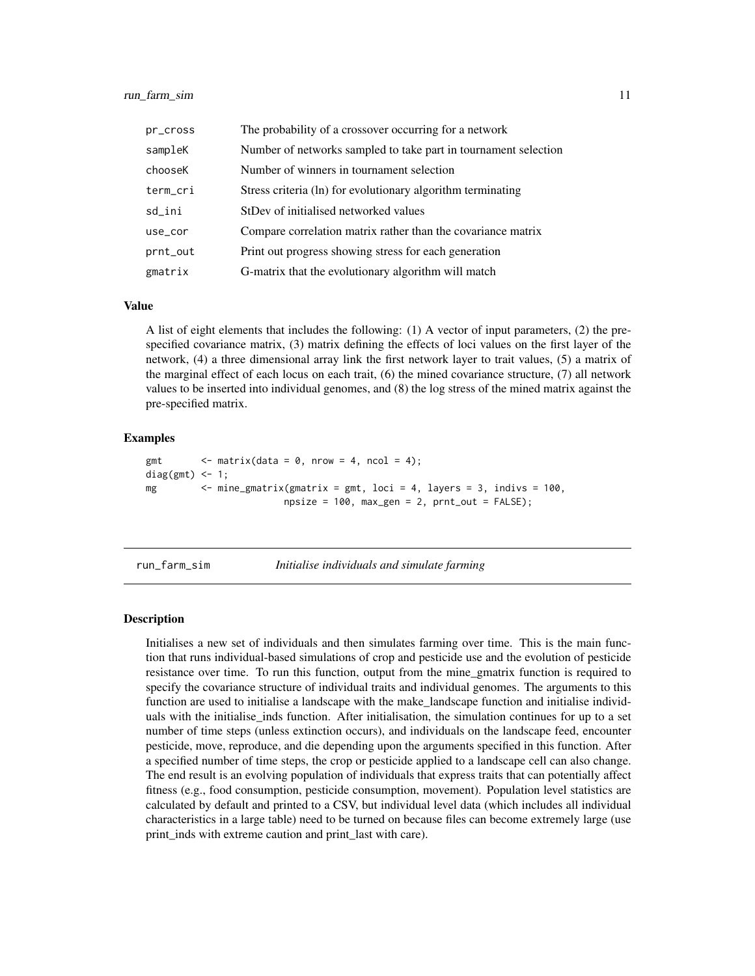<span id="page-10-0"></span>

| pr_cross | The probability of a crossover occurring for a network          |
|----------|-----------------------------------------------------------------|
| sampleK  | Number of networks sampled to take part in tournament selection |
| chooseK  | Number of winners in tournament selection                       |
| term_cri | Stress criteria (ln) for evolutionary algorithm terminating     |
| sd_ini   | StDev of initialised networked values                           |
| use_cor  | Compare correlation matrix rather than the covariance matrix    |
| prnt_out | Print out progress showing stress for each generation           |
| gmatrix  | G-matrix that the evolutionary algorithm will match             |

#### Value

A list of eight elements that includes the following: (1) A vector of input parameters, (2) the prespecified covariance matrix, (3) matrix defining the effects of loci values on the first layer of the network, (4) a three dimensional array link the first network layer to trait values, (5) a matrix of the marginal effect of each locus on each trait, (6) the mined covariance structure, (7) all network values to be inserted into individual genomes, and (8) the log stress of the mined matrix against the pre-specified matrix.

#### Examples

```
gmt \langle - \text{ matrix}(\text{data} = 0, \text{ nrow} = 4, \text{ ncol} = 4);
diag(gmt) < -1;mg <- mine_gmatrix(gmatrix = gmt, loci = 4, layers = 3, indivs = 100,
                            npsize = 100, max\_gen = 2, prnt\_out = FALSE;
```

```
run_farm_sim Initialise individuals and simulate farming
```
#### **Description**

Initialises a new set of individuals and then simulates farming over time. This is the main function that runs individual-based simulations of crop and pesticide use and the evolution of pesticide resistance over time. To run this function, output from the mine\_gmatrix function is required to specify the covariance structure of individual traits and individual genomes. The arguments to this function are used to initialise a landscape with the make\_landscape function and initialise individuals with the initialise\_inds function. After initialisation, the simulation continues for up to a set number of time steps (unless extinction occurs), and individuals on the landscape feed, encounter pesticide, move, reproduce, and die depending upon the arguments specified in this function. After a specified number of time steps, the crop or pesticide applied to a landscape cell can also change. The end result is an evolving population of individuals that express traits that can potentially affect fitness (e.g., food consumption, pesticide consumption, movement). Population level statistics are calculated by default and printed to a CSV, but individual level data (which includes all individual characteristics in a large table) need to be turned on because files can become extremely large (use print\_inds with extreme caution and print\_last with care).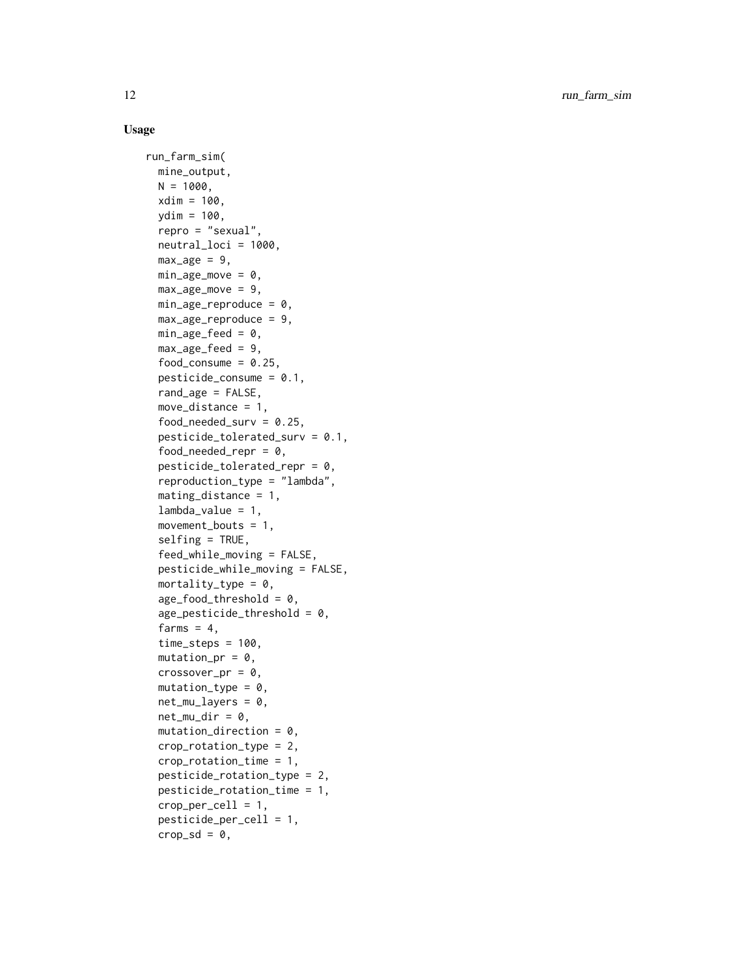#### Usage

```
run_farm_sim(
 mine_output,
 N = 1000,
  xdim = 100,
 ydim = 100,
  repro = "sexual",
  neutral_loci = 1000,
 max_{\text{age}} = 9,
 min\_age\_move = 0,
 max\_age\_move = 9,
 min\_age\_reproduce = 0,max_age_reproduce = 9,
 min\_age\_feed = 0,
 max_age_feed = 9,
  food_consume = 0.25,
  pesticide_{consume} = 0.1,
  rand_age = FALSE,
 move_distance = 1,
  food\_needed\_surv = 0.25,
  pesticide_tolerated_surv = 0.1,
  food_needed_repr = 0,
  pesticide_tolerated_repr = 0,
  reproduction_type = "lambda",
  mating_distance = 1,
  lambda_value = 1,
  movement_bouts = 1,
  selfing = TRUE,
  feed_while_moving = FALSE,
  pesticide_while_moving = FALSE,
 mortality_type = 0,
  age_food_threshold = 0,age_{pesticide_{th}reshold = 0,
  farms = 4,
  time\_steps = 100,mutation_pr = 0,
  crossover_pr = 0,
 mutation_type = 0,net_mu_{\text{layers}} = 0,
  net_mu_dir = 0,
 mutation\_direction = 0,crop_rotation_type = 2,
  crop_rotation_time = 1,
  pesticide_rotation_type = 2,
  pesticide_rotation_time = 1,
  crop\_per\_cell = 1,
  pesticide_per_cell = 1,
  crop_s d = 0,
```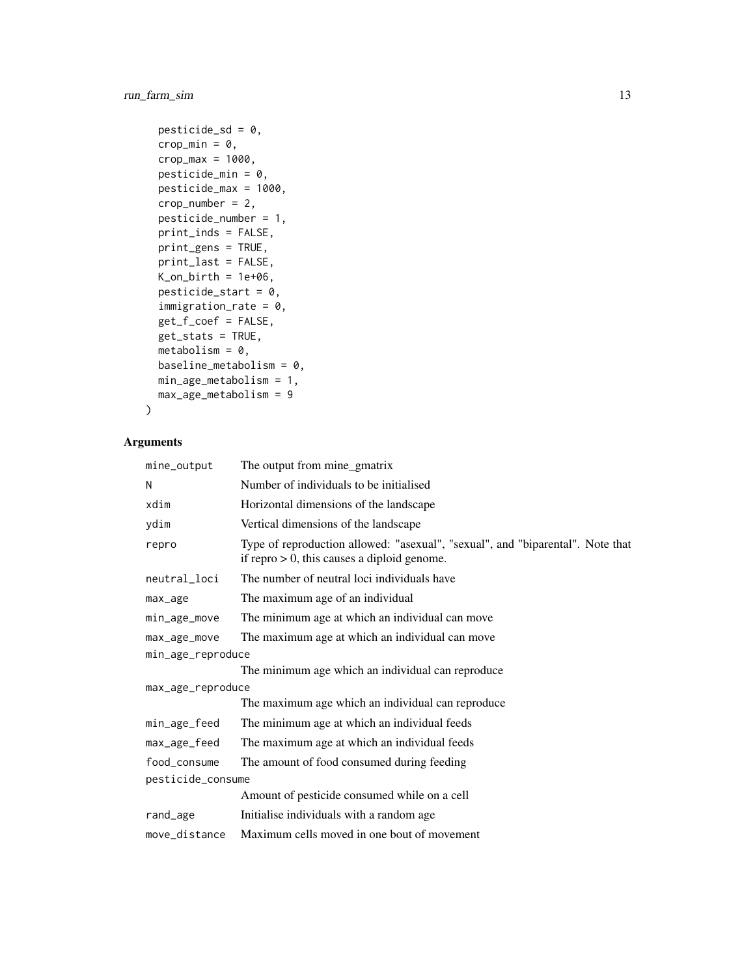run\_farm\_sim 13

```
pesticide_sd = 0,
crop_min = 0,
crop_max = 1000,pesticide_min = 0,
pesticide_max = 1000,
crop_number = 2,
pesticide_number = 1,
print_inds = FALSE,
print_gens = TRUE,
print_last = FALSE,
K\_on\_birth = 1e+06,
pesticide_start = 0,
immigration_rate = 0,
get_f_coef = FALSE,
get_stats = TRUE,
metabolism = 0,
baseline_metabolism = 0,
min_age_metabolism = 1,
max_age_metabolism = 9
```
#### Arguments

 $\mathcal{L}$ 

| mine_output                                                     | The output from mine_gmatrix                                                                                                     |  |
|-----------------------------------------------------------------|----------------------------------------------------------------------------------------------------------------------------------|--|
| N                                                               | Number of individuals to be initialised                                                                                          |  |
| xdim                                                            | Horizontal dimensions of the landscape                                                                                           |  |
| ydim                                                            | Vertical dimensions of the landscape                                                                                             |  |
| repro                                                           | Type of reproduction allowed: "asexual", "sexual", and "biparental". Note that<br>if repro $> 0$ , this causes a diploid genome. |  |
| neutral_loci                                                    | The number of neutral loci individuals have                                                                                      |  |
| max_age                                                         | The maximum age of an individual                                                                                                 |  |
| min_age_move                                                    | The minimum age at which an individual can move                                                                                  |  |
| The maximum age at which an individual can move<br>max_age_move |                                                                                                                                  |  |
| min_age_reproduce                                               |                                                                                                                                  |  |
|                                                                 | The minimum age which an individual can reproduce                                                                                |  |
| max_age_reproduce                                               |                                                                                                                                  |  |
|                                                                 | The maximum age which an individual can reproduce                                                                                |  |
| min_age_feed                                                    | The minimum age at which an individual feeds                                                                                     |  |
| max_age_feed                                                    | The maximum age at which an individual feeds                                                                                     |  |
| food consume                                                    | The amount of food consumed during feeding                                                                                       |  |
| pesticide_consume                                               |                                                                                                                                  |  |
|                                                                 | Amount of pesticide consumed while on a cell                                                                                     |  |
| rand_age                                                        | Initialise individuals with a random age                                                                                         |  |
| move distance                                                   | Maximum cells moved in one bout of movement                                                                                      |  |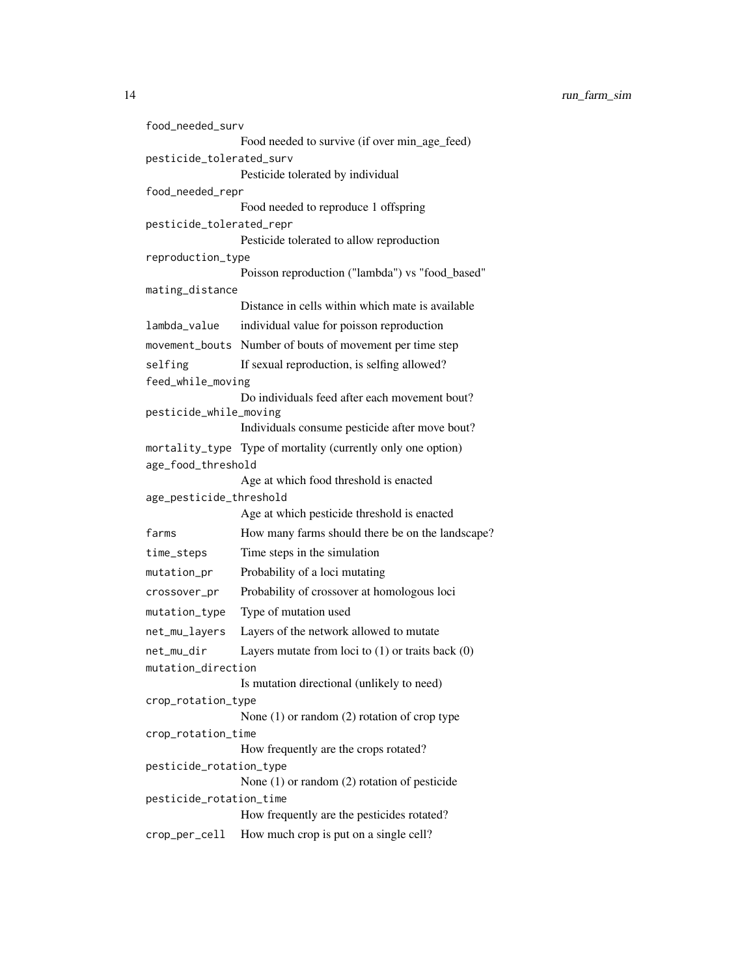```
food_needed_surv
                 Food needed to survive (if over min_age_feed)
pesticide_tolerated_surv
                 Pesticide tolerated by individual
food_needed_repr
                 Food needed to reproduce 1 offspring
pesticide_tolerated_repr
                 Pesticide tolerated to allow reproduction
reproduction_type
                 Poisson reproduction ("lambda") vs "food_based"
mating_distance
                 Distance in cells within which mate is available
lambda_value individual value for poisson reproduction
movement_bouts Number of bouts of movement per time step
selfing If sexual reproduction, is selfing allowed?
feed_while_moving
                 Do individuals feed after each movement bout?
pesticide_while_moving
                 Individuals consume pesticide after move bout?
mortality_type Type of mortality (currently only one option)
age_food_threshold
                 Age at which food threshold is enacted
age_pesticide_threshold
                 Age at which pesticide threshold is enacted
farms How many farms should there be on the landscape?
time_steps Time steps in the simulation
mutation_pr Probability of a loci mutating
crossover_pr Probability of crossover at homologous loci
mutation_type Type of mutation used
net_mu_layers Layers of the network allowed to mutate
net_mu_dir Layers mutate from loci to (1) or traits back (0)
mutation_direction
                 Is mutation directional (unlikely to need)
crop_rotation_type
                 None (1) or random (2) rotation of crop type
crop_rotation_time
                 How frequently are the crops rotated?
pesticide_rotation_type
                 None (1) or random (2) rotation of pesticide
pesticide_rotation_time
                 How frequently are the pesticides rotated?
crop_per_cell How much crop is put on a single cell?
```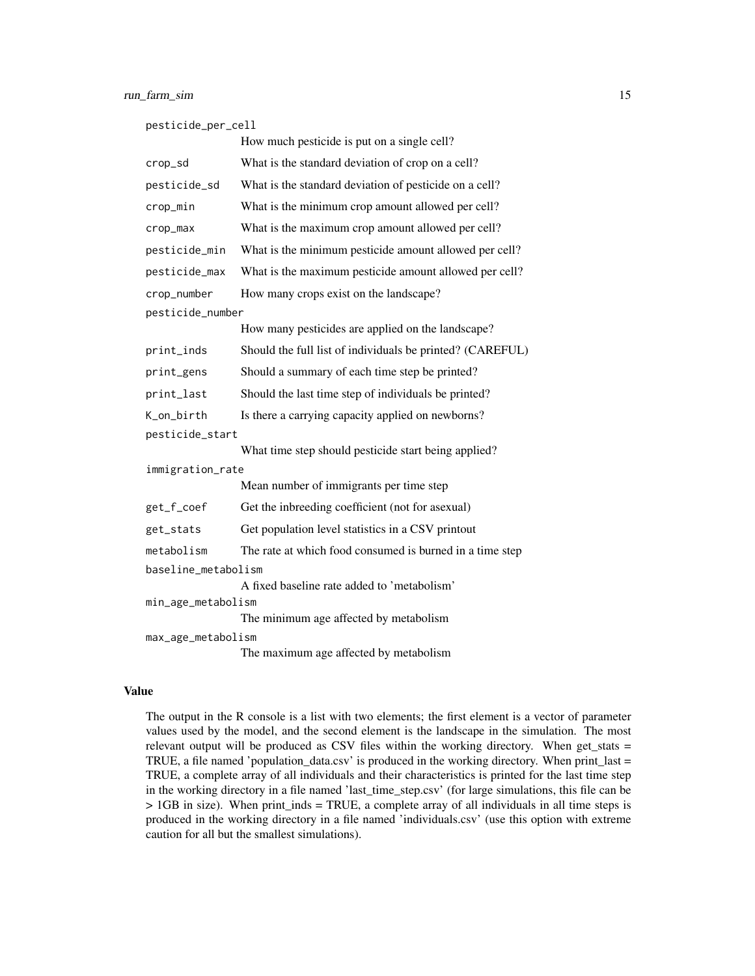|  |  | pesticide_per_cell |
|--|--|--------------------|
|  |  |                    |

|                     | How much pesticide is put on a single cell?               |  |  |
|---------------------|-----------------------------------------------------------|--|--|
| crop_sd             | What is the standard deviation of crop on a cell?         |  |  |
| pesticide_sd        | What is the standard deviation of pesticide on a cell?    |  |  |
| crop_min            | What is the minimum crop amount allowed per cell?         |  |  |
| crop_max            | What is the maximum crop amount allowed per cell?         |  |  |
| pesticide_min       | What is the minimum pesticide amount allowed per cell?    |  |  |
| pesticide_max       | What is the maximum pesticide amount allowed per cell?    |  |  |
| crop_number         | How many crops exist on the landscape?                    |  |  |
| pesticide_number    |                                                           |  |  |
|                     | How many pesticides are applied on the landscape?         |  |  |
| print_inds          | Should the full list of individuals be printed? (CAREFUL) |  |  |
| print_gens          | Should a summary of each time step be printed?            |  |  |
| print_last          | Should the last time step of individuals be printed?      |  |  |
| K_on_birth          | Is there a carrying capacity applied on newborns?         |  |  |
| pesticide_start     |                                                           |  |  |
|                     | What time step should pesticide start being applied?      |  |  |
| immigration_rate    |                                                           |  |  |
|                     | Mean number of immigrants per time step                   |  |  |
| get_f_coef          | Get the inbreeding coefficient (not for asexual)          |  |  |
| get_stats           | Get population level statistics in a CSV printout         |  |  |
| metabolism          | The rate at which food consumed is burned in a time step  |  |  |
| baseline_metabolism |                                                           |  |  |
|                     | A fixed baseline rate added to 'metabolism'               |  |  |
| min_age_metabolism  |                                                           |  |  |
|                     | The minimum age affected by metabolism                    |  |  |
| max_age_metabolism  |                                                           |  |  |
|                     | The maximum age affected by metabolism                    |  |  |

#### Value

The output in the R console is a list with two elements; the first element is a vector of parameter values used by the model, and the second element is the landscape in the simulation. The most relevant output will be produced as CSV files within the working directory. When get\_stats = TRUE, a file named 'population\_data.csv' is produced in the working directory. When print\_last  $=$ TRUE, a complete array of all individuals and their characteristics is printed for the last time step in the working directory in a file named 'last\_time\_step.csv' (for large simulations, this file can be > 1GB in size). When print\_inds = TRUE, a complete array of all individuals in all time steps is produced in the working directory in a file named 'individuals.csv' (use this option with extreme caution for all but the smallest simulations).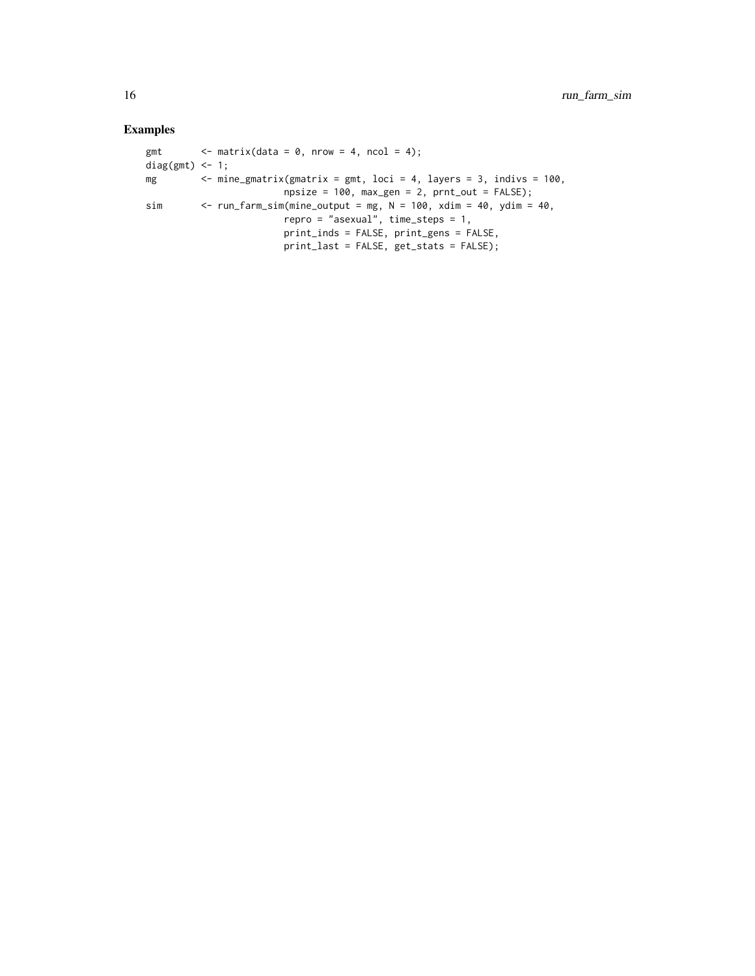#### Examples

```
gmt \langle - \text{ matrix}(\text{data} = 0, \text{ nrow} = 4, \text{ ncol} = 4);diag(gmt) <-1;mg \le - mine_gmatrix(gmatrix = gmt, loci = 4, layers = 3, indivs = 100,
                          npsize = 100, max\_gen = 2, prnt\_out = FALSE;
sim \le run_farm_sim(mine_output = mg, N = 100, xdim = 40, ydim = 40,
                          repro = "asexual", time_steps = 1,
                          print_inds = FALSE, print_gens = FALSE,
                          print_last = FALSE, get_stats = FALSE);
```